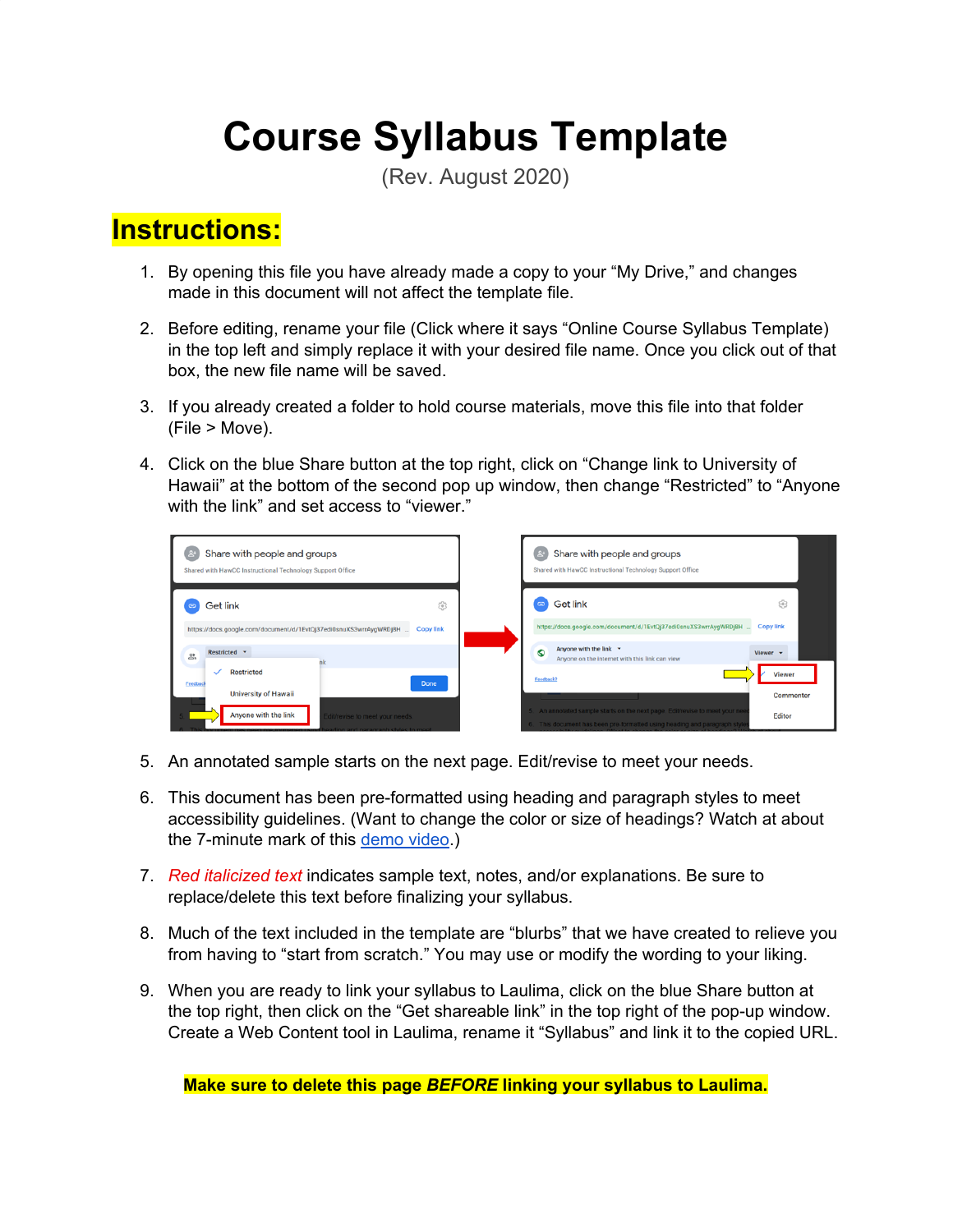# **Course Syllabus Template**

(Rev. August 2020)

### **Instructions:**

- 1. By opening this file you have already made a copy to your "My Drive," and changes made in this document will not affect the template file.
- 2. Before editing, rename your file (Click where it says "Online Course Syllabus Template) in the top left and simply replace it with your desired file name. Once you click out of that box, the new file name will be saved.
- 3. If you already created a folder to hold course materials, move this file into that folder (File > Move).
- 4. Click on the blue Share button at the top right, click on "Change link to University of Hawaii" at the bottom of the second pop up window, then change "Restricted" to "Anyone with the link" and set access to "viewer."



- 5. An annotated sample starts on the next page. Edit/revise to meet your needs.
- 6. This document has been pre-formatted using heading and paragraph styles to meet accessibility guidelines. (Want to change the color or size of headings? Watch at about the 7-minute mark of this [demo](https://youtu.be/Kf5fFbuU1nk) video.)
- 7. *Red italicized text* indicates sample text, notes, and/or explanations. Be sure to replace/delete this text before finalizing your syllabus.
- 8. Much of the text included in the template are "blurbs" that we have created to relieve you from having to "start from scratch." You may use or modify the wording to your liking.
- 9. When you are ready to link your syllabus to Laulima, click on the blue Share button at the top right, then click on the "Get shareable link" in the top right of the pop-up window. Create a Web Content tool in Laulima, rename it "Syllabus" and link it to the copied URL.

**Make sure to delete this page** *BEFORE* **linking your syllabus to Laulima.**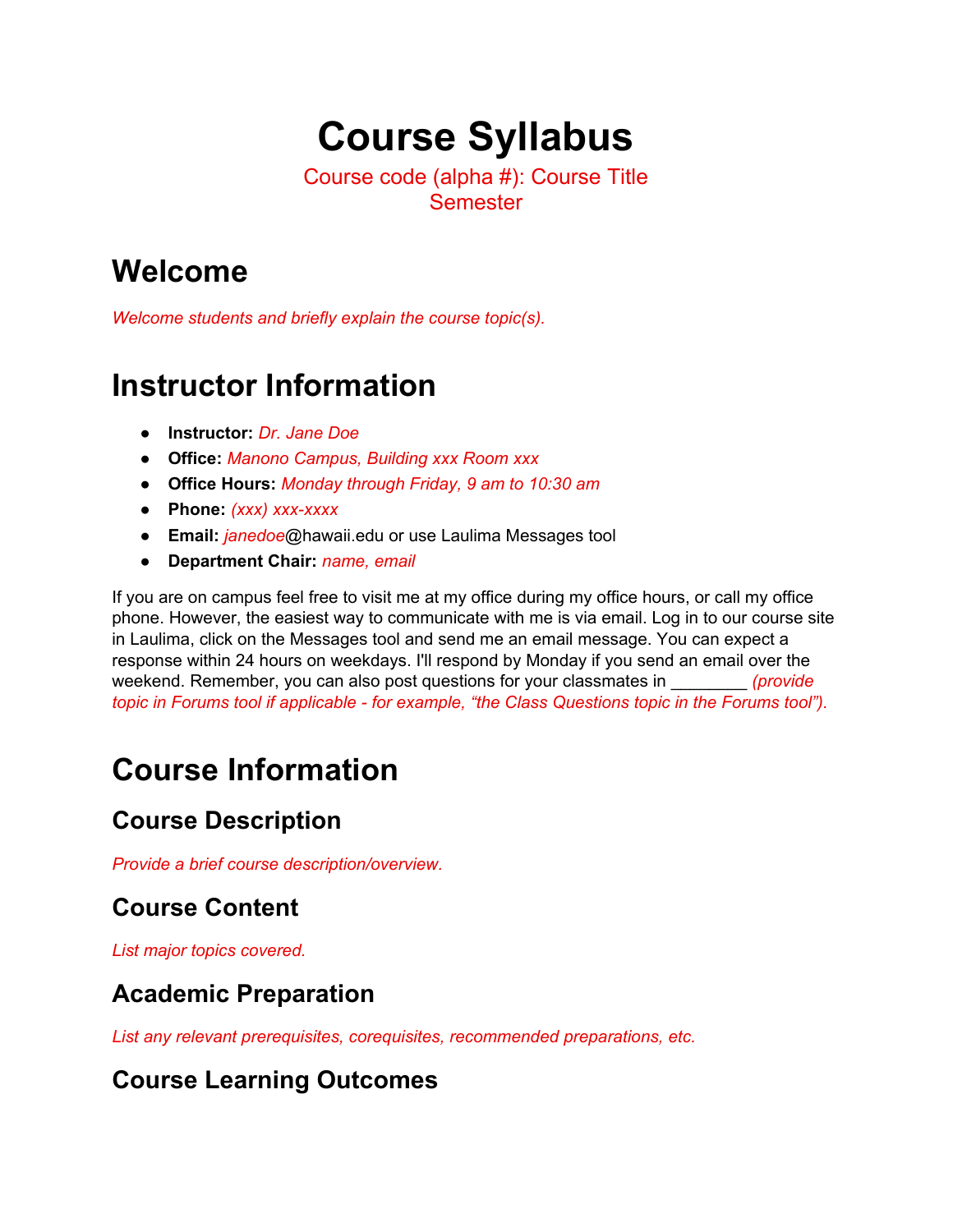# **Course Syllabus**

Course code (alpha #): Course Title **Semester** 

### **Welcome**

*Welcome students and briefly explain the course topic(s).*

### **Instructor Information**

- **Instructor:** *Dr. Jane Doe*
- **Office:** *Manono Campus, Building xxx Room xxx*
- **Office Hours:** *Monday through Friday, 9 am to 10:30 am*
- **Phone:** *(xxx) xxx-xxxx*
- **Email:** *janedoe*@hawaii.edu or use Laulima Messages tool
- **Department Chair:** *name, email*

If you are on campus feel free to visit me at my office during my office hours, or call my office phone. However, the easiest way to communicate with me is via email. Log in to our course site in Laulima, click on the Messages tool and send me an email message. You can expect a response within 24 hours on weekdays. I'll respond by Monday if you send an email over the weekend. Remember, you can also post questions for your classmates in \_\_\_\_\_\_\_\_ *(provide topic in Forums tool if applicable - for example, "the Class Questions topic in the Forums tool").*

## **Course Information**

#### **Course Description**

*Provide a brief course description/overview.*

#### **Course Content**

*List major topics covered.*

#### **Academic Preparation**

*List any relevant prerequisites, corequisites, recommended preparations, etc.*

#### **Course Learning Outcomes**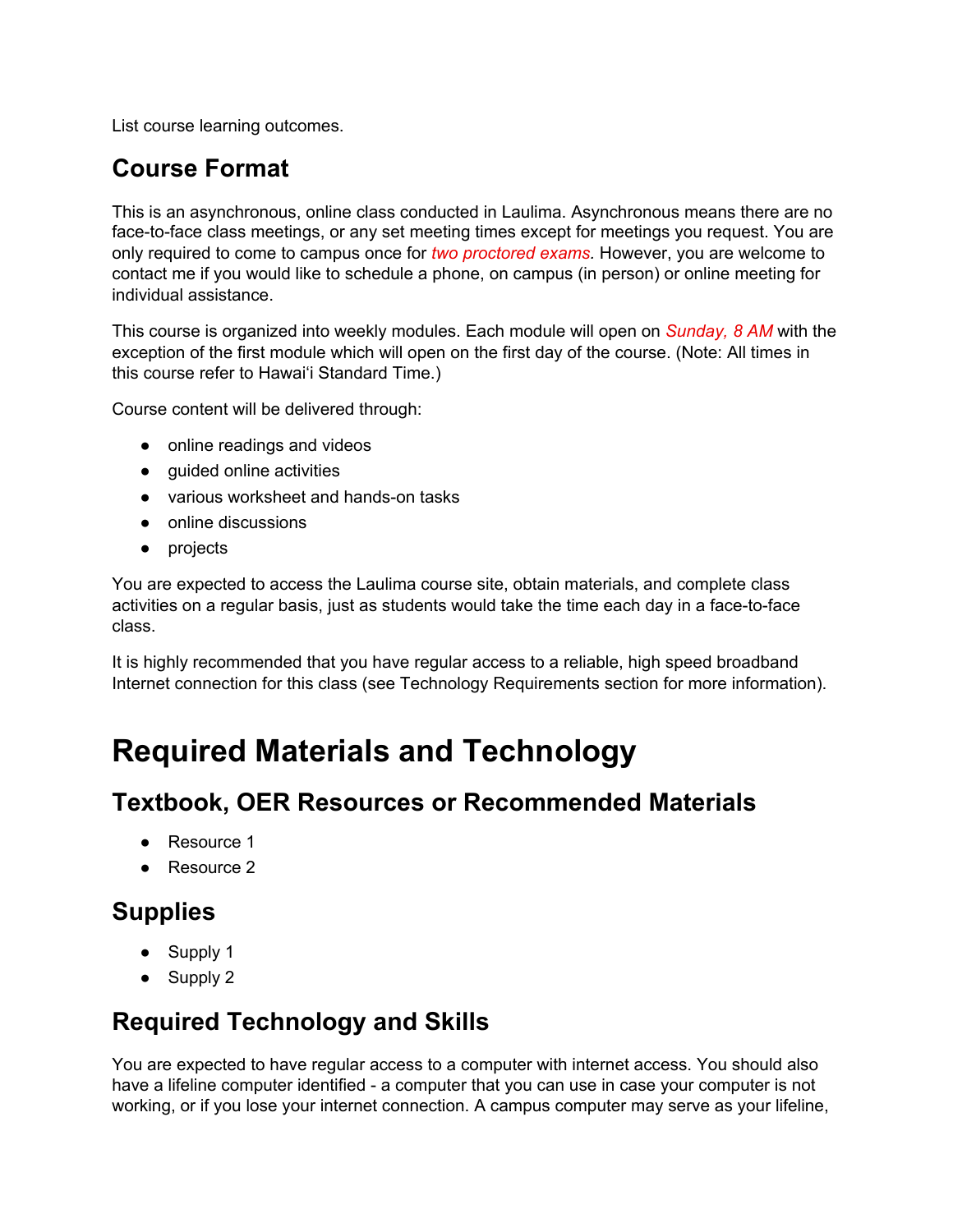List course learning outcomes.

#### **Course Format**

This is an asynchronous, online class conducted in Laulima. Asynchronous means there are no face-to-face class meetings, or any set meeting times except for meetings you request. You are only required to come to campus once for *two proctored exams.* However, you are welcome to contact me if you would like to schedule a phone, on campus (in person) or online meeting for individual assistance.

This course is organized into weekly modules. Each module will open on *Sunday, 8 AM* with the exception of the first module which will open on the first day of the course. (Note: All times in this course refer to Hawai'i Standard Time.)

Course content will be delivered through:

- online readings and videos
- guided online activities
- various worksheet and hands-on tasks
- online discussions
- projects

You are expected to access the Laulima course site, obtain materials, and complete class activities on a regular basis, just as students would take the time each day in a face-to-face class.

It is highly recommended that you have regular access to a reliable, high speed broadband Internet connection for this class (see Technology Requirements section for more information).

### **Required Materials and Technology**

#### **Textbook, OER Resources or Recommended Materials**

- Resource 1
- Resource 2

#### **Supplies**

- Supply 1
- Supply 2

#### **Required Technology and Skills**

You are expected to have regular access to a computer with internet access. You should also have a lifeline computer identified - a computer that you can use in case your computer is not working, or if you lose your internet connection. A campus computer may serve as your lifeline,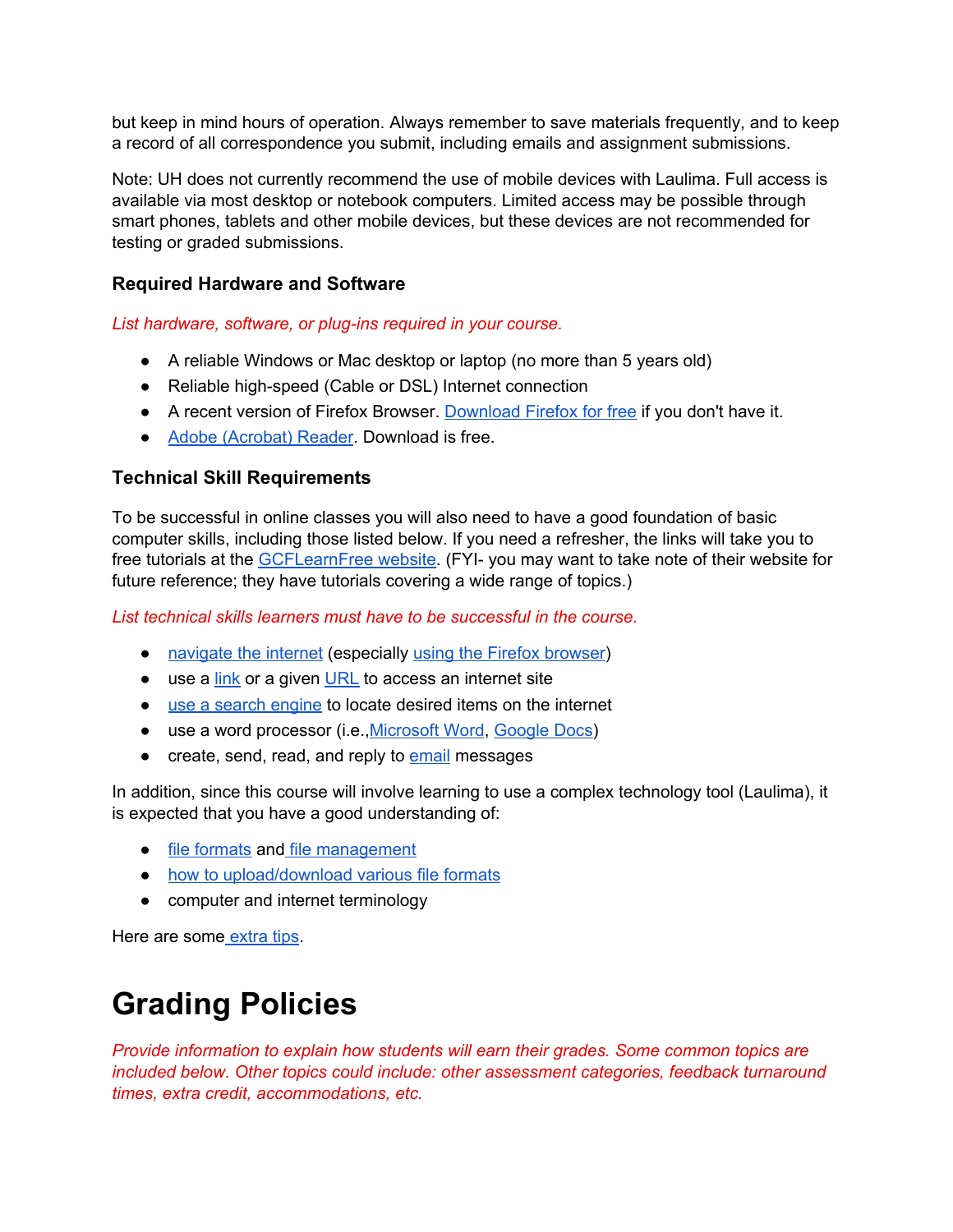but keep in mind hours of operation. Always remember to save materials frequently, and to keep a record of all correspondence you submit, including emails and assignment submissions.

Note: UH does not currently recommend the use of mobile devices with Laulima. Full access is available via most desktop or notebook computers. Limited access may be possible through smart phones, tablets and other mobile devices, but these devices are not recommended for testing or graded submissions.

#### **Required Hardware and Software**

*List hardware, software, or plug-ins required in your course.*

- A reliable Windows or Mac desktop or laptop (no more than 5 years old)
- Reliable high-speed (Cable or DSL) Internet connection
- A recent version of Firefox Browser. [Download](https://www.mozilla.org/en-US/firefox/new/) Firefox for free if you don't have it.
- Adobe [\(Acrobat\)](https://get.adobe.com/reader/) Reader. Download is free.

#### **Technical Skill Requirements**

To be successful in online classes you will also need to have a good foundation of basic computer skills, including those listed below. If you need a refresher, the links will take you to free tutorials at the [GCFLearnFree](https://www.gcflearnfree.org/) website. (FYI- you may want to take note of their website for future reference; they have tutorials covering a wide range of topics.)

*List technical skills learners must have to be successful in the course.*

- [navigate](https://www.gcflearnfree.org/internetbasics/using-a-web-browser/1/) the internet (especially using the Firefox [browser](https://www.gcflearnfree.org/firefox/))
- use a [link](https://www.gcflearnfree.org/internetbasics/using-a-web-browser/1/#sidenav-lesson-2) or a given [URL](https://www.gcflearnfree.org/internetbasics/using-a-web-browser/1/#sidenav-lesson-1) to access an internet site
- use a search [engine](https://www.gcflearnfree.org/searchbetter/google-search-tips/1/) to locate desired items on the internet
- use a word processor (i.e., [Microsoft](https://edu.gcfglobal.org/en/topics/word/) Word, [Google](https://edu.gcfglobal.org/en/googledocuments/) Docs)
- create, send, read, and reply to [email](https://www.gcflearnfree.org/topics/emailbasics/) messages

In addition, since this course will involve learning to use a complex technology tool (Laulima), it is expected that you have a good understanding of:

- file [formats](https://www.gcflearnfree.org/basic-computer-skills/understanding-file-extensions/1/) and file [management](https://www.gcflearnfree.org/windowsbasics/working-with-files/1/)
- how to [upload/download](https://www.gcflearnfree.org/basic-computer-skills/downloading-and-uploading/1/) various file formats
- computer and internet terminology

Here are some [extra](https://www.gcflearnfree.org/techsavvy/mouse-shortcuts/1/) tips.

### **Grading Policies**

*Provide information to explain how students will earn their grades. Some common topics are included below. Other topics could include: other assessment categories, feedback turnaround times, extra credit, accommodations, etc.*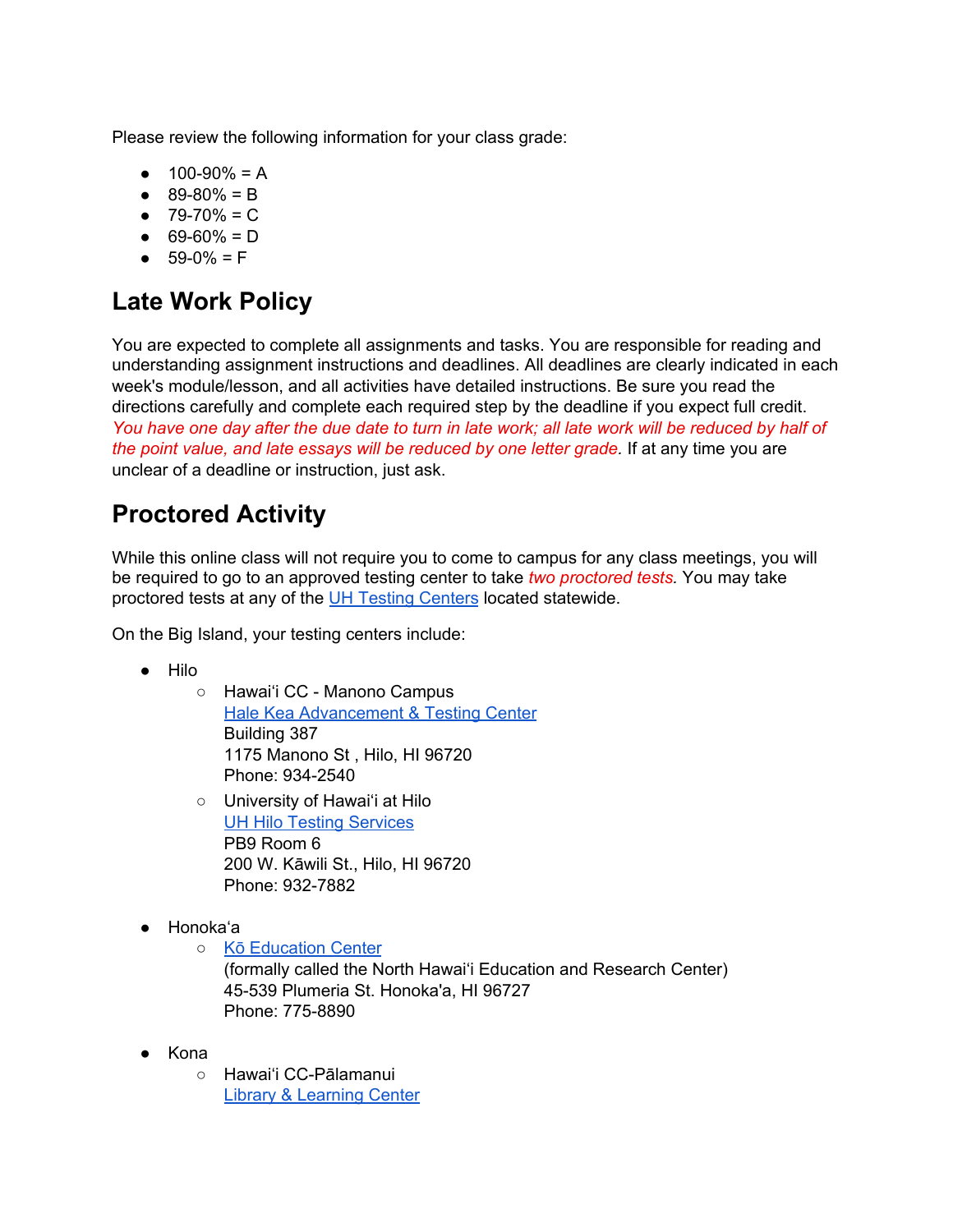Please review the following information for your class grade:

- $\bullet$  100-90% = A
- $\bullet$  89-80% = B
- $\bullet$  79-70% = C
- $\bullet$  69-60% = D
- $-59-0% = F$

#### **Late Work Policy**

You are expected to complete all assignments and tasks. You are responsible for reading and understanding assignment instructions and deadlines. All deadlines are clearly indicated in each week's module/lesson, and all activities have detailed instructions. Be sure you read the directions carefully and complete each required step by the deadline if you expect full credit. You have one day after the due date to turn in late work; all late work will be reduced by half of *the point value, and late essays will be reduced by one letter grade.* If at any time you are unclear of a deadline or instruction, just ask.

#### **Proctored Activity**

While this online class will not require you to come to campus for any class meetings, you will be required to go to an approved testing center to take *two proctored tests.* You may take proctored tests at any of the UH Testing [Centers](http://www.uhonline.hawaii.edu/testcenters) located statewide.

On the Big Island, your testing centers include:

- Hilo
	- Hawai'i CC Manono Campus Hale Kea [Advancement](http://hawaii.hawaii.edu/halekea/de) & Testing Center Building 387 1175 Manono St , Hilo, HI 96720 Phone: 934-2540
	- University of Hawai'i at Hilo UH Hilo Testing [Services](https://hilo.hawaii.edu/testingcenter/) PB9 Room 6 200 W. Kāwili St., Hilo, HI 96720 Phone: 932-7882
- Honoka'a
	- Kō [Education](https://hawaii.hawaii.edu/nherc) Center (formally called the North Hawai'i Education and Research Center) 45-539 Plumeria St. Honoka'a, HI 96727 Phone: 775-8890
	-
- Kona ○ Hawai'i CC-Pālamanui Library & [Learning](http://hawaii.hawaii.edu/palamanui/learning-resources/) Center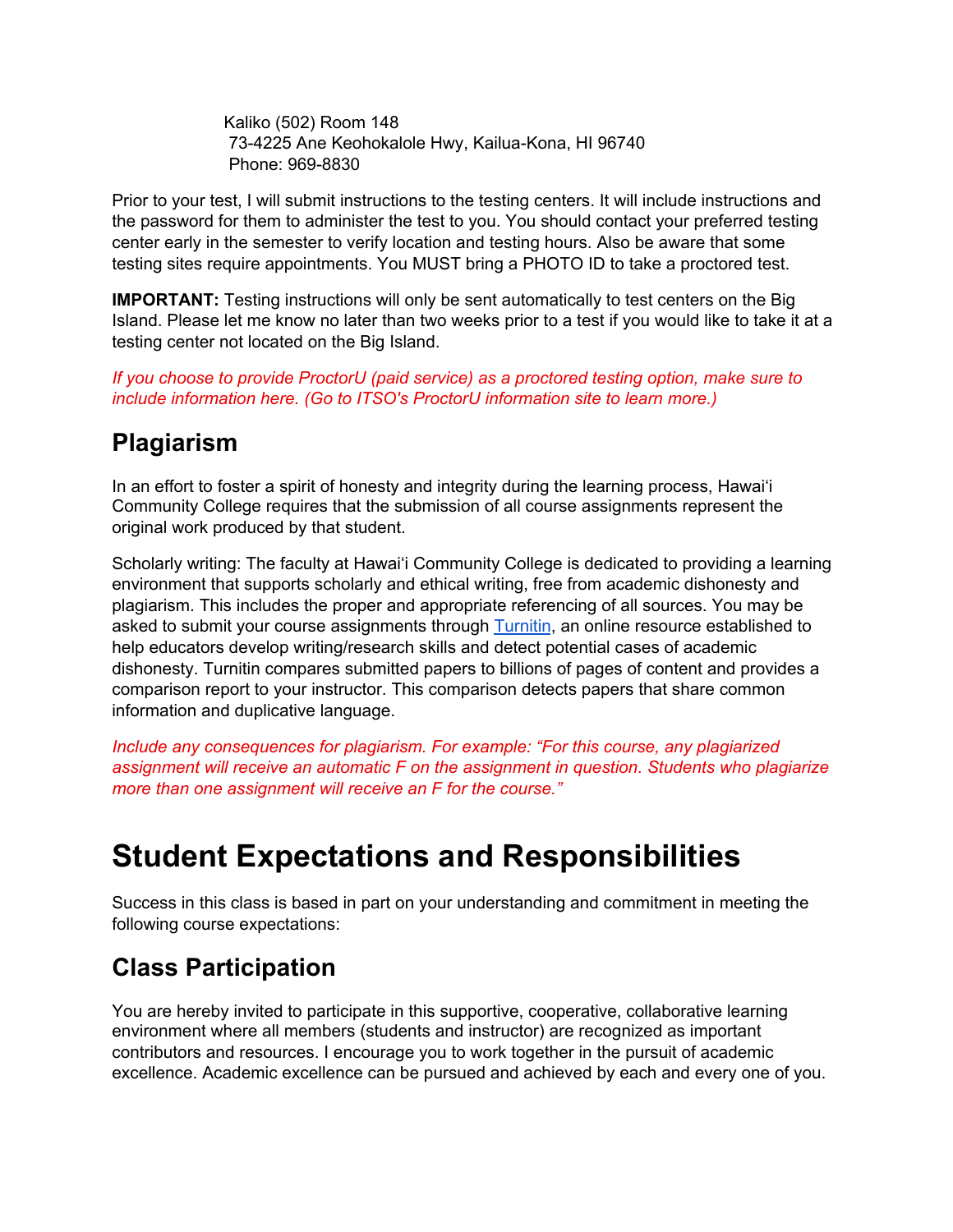Kaliko (502) Room 148 73-4225 Ane Keohokalole Hwy, Kailua-Kona, HI 96740 Phone: 969-8830

Prior to your test, I will submit instructions to the testing centers. It will include instructions and the password for them to administer the test to you. You should contact your preferred testing center early in the semester to verify location and testing hours. Also be aware that some testing sites require appointments. You MUST bring a PHOTO ID to take a proctored test.

**IMPORTANT:** Testing instructions will only be sent automatically to test centers on the Big Island. Please let me know no later than two weeks prior to a test if you would like to take it at a testing center not located on the Big Island.

*If you choose to provide ProctorU (paid service) as a proctored testing option, make sure to include information here. (Go to ITSO's ProctorU [information](https://sites.google.com/a/hawaii.edu/itso-1/) site to learn more.)*

#### **Plagiarism**

In an effort to foster a spirit of honesty and integrity during the learning process, Hawai'i Community College requires that the submission of all course assignments represent the original work produced by that student.

Scholarly writing: The faculty at Hawai'i Community College is dedicated to providing a learning environment that supports scholarly and ethical writing, free from academic dishonesty and plagiarism. This includes the proper and appropriate referencing of all sources. You may be asked to submit your course assignments through [Turnitin](http://www.turnitin.com/), an online resource established to help educators develop writing/research skills and detect potential cases of academic dishonesty. Turnitin compares submitted papers to billions of pages of content and provides a comparison report to your instructor. This comparison detects papers that share common information and duplicative language.

*Include any consequences for plagiarism. For example: "For this course, any plagiarized assignment will receive an automatic F on the assignment in question. Students who plagiarize more than one assignment will receive an F for the course."*

### **Student Expectations and Responsibilities**

Success in this class is based in part on your understanding and commitment in meeting the following course expectations:

#### **Class Participation**

You are hereby invited to participate in this supportive, cooperative, collaborative learning environment where all members (students and instructor) are recognized as important contributors and resources. I encourage you to work together in the pursuit of academic excellence. Academic excellence can be pursued and achieved by each and every one of you.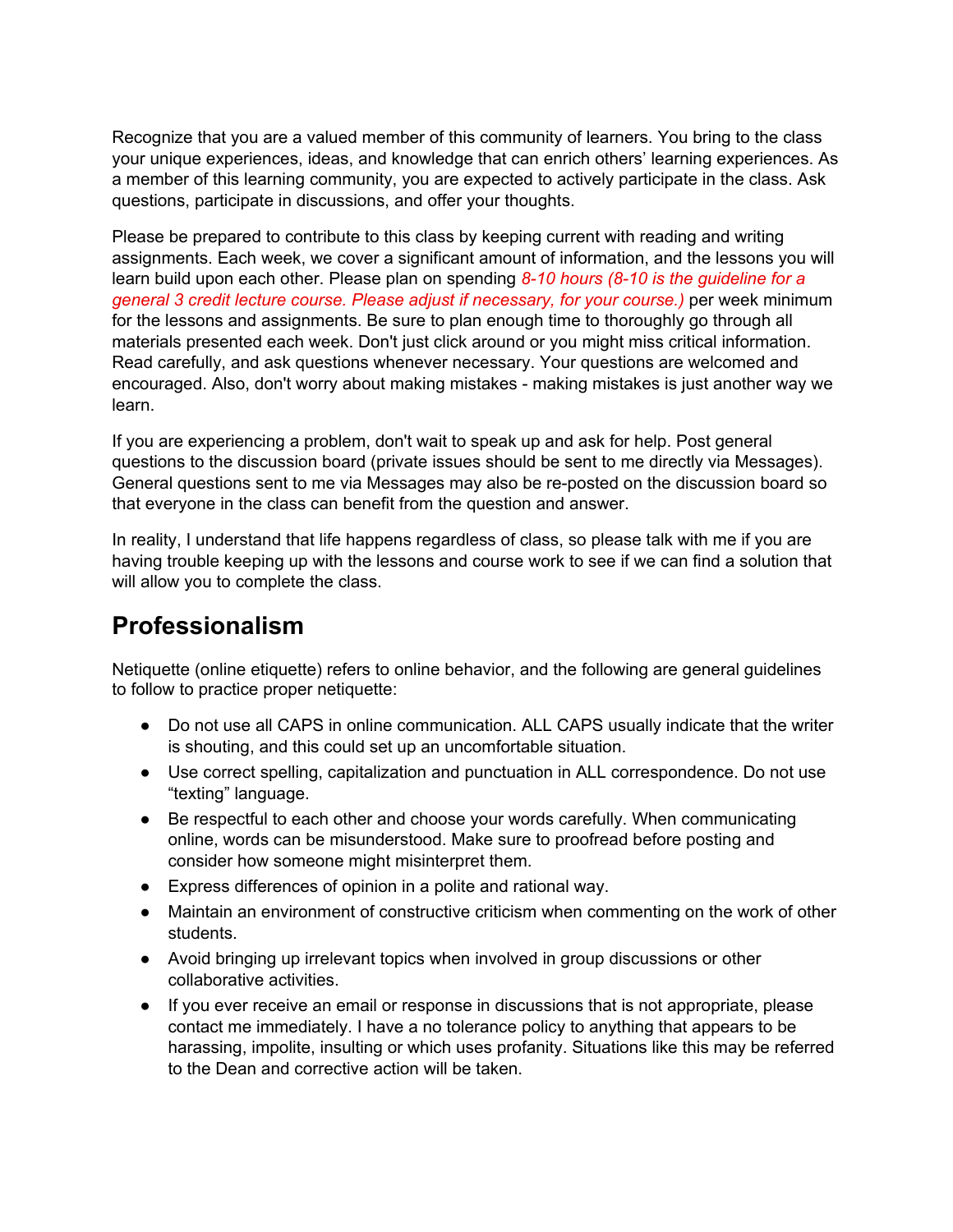Recognize that you are a valued member of this community of learners. You bring to the class your unique experiences, ideas, and knowledge that can enrich others' learning experiences. As a member of this learning community, you are expected to actively participate in the class. Ask questions, participate in discussions, and offer your thoughts.

Please be prepared to contribute to this class by keeping current with reading and writing assignments. Each week, we cover a significant amount of information, and the lessons you will learn build upon each other. Please plan on spending *8-10 hours (8-10 is the guideline for a general 3 credit lecture course. Please adjust if necessary, for your course.)* per week minimum for the lessons and assignments. Be sure to plan enough time to thoroughly go through all materials presented each week. Don't just click around or you might miss critical information. Read carefully, and ask questions whenever necessary. Your questions are welcomed and encouraged. Also, don't worry about making mistakes - making mistakes is just another way we learn.

If you are experiencing a problem, don't wait to speak up and ask for help. Post general questions to the discussion board (private issues should be sent to me directly via Messages). General questions sent to me via Messages may also be re-posted on the discussion board so that everyone in the class can benefit from the question and answer.

In reality, I understand that life happens regardless of class, so please talk with me if you are having trouble keeping up with the lessons and course work to see if we can find a solution that will allow you to complete the class.

#### **Professionalism**

Netiquette (online etiquette) refers to online behavior, and the following are general guidelines to follow to practice proper netiquette:

- Do not use all CAPS in online communication. ALL CAPS usually indicate that the writer is shouting, and this could set up an uncomfortable situation.
- Use correct spelling, capitalization and punctuation in ALL correspondence. Do not use "texting" language.
- Be respectful to each other and choose your words carefully. When communicating online, words can be misunderstood. Make sure to proofread before posting and consider how someone might misinterpret them.
- Express differences of opinion in a polite and rational way.
- Maintain an environment of constructive criticism when commenting on the work of other students.
- Avoid bringing up irrelevant topics when involved in group discussions or other collaborative activities.
- If you ever receive an email or response in discussions that is not appropriate, please contact me immediately. I have a no tolerance policy to anything that appears to be harassing, impolite, insulting or which uses profanity. Situations like this may be referred to the Dean and corrective action will be taken.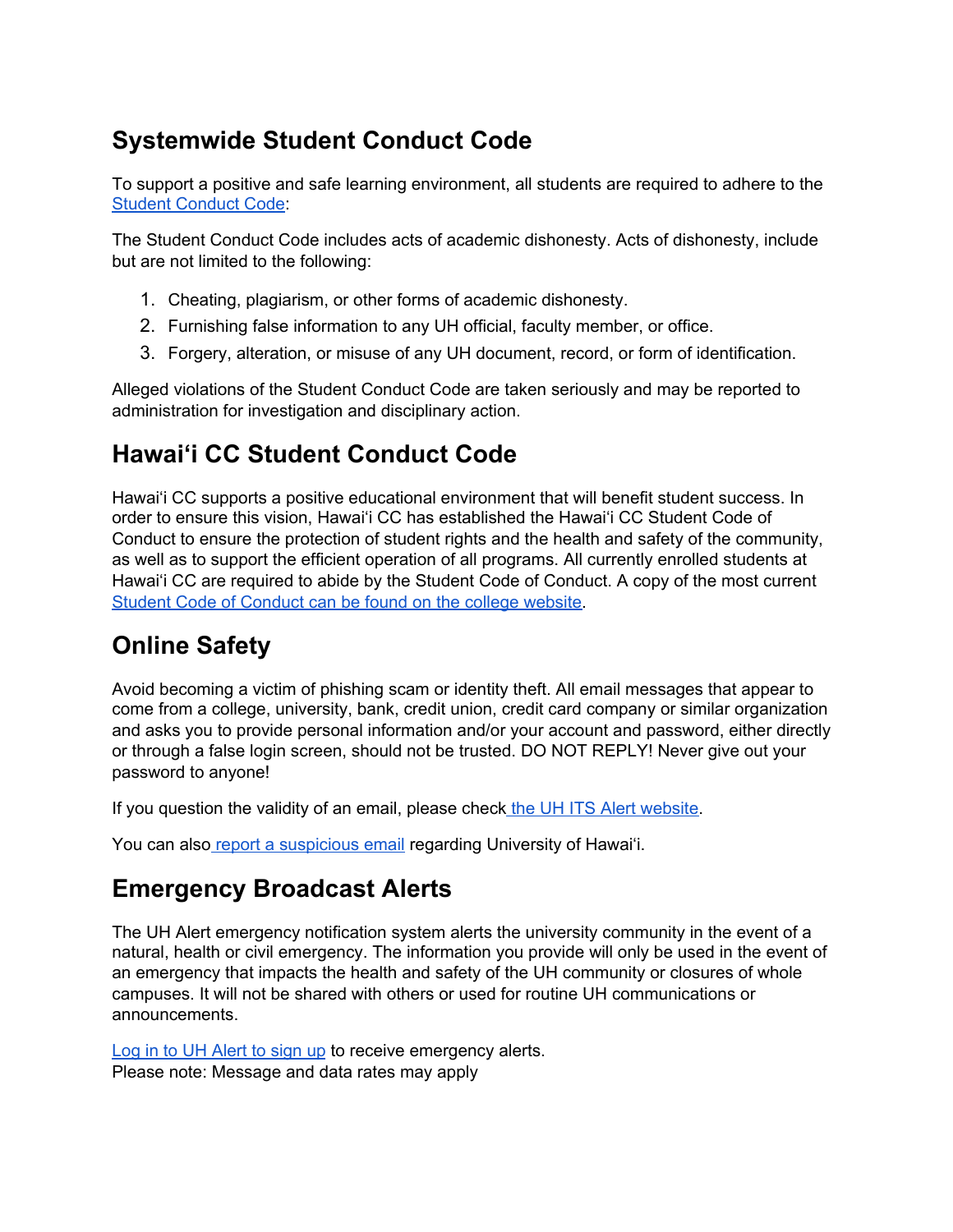#### **Systemwide Student Conduct Code**

To support a positive and safe learning environment, all students are required to adhere to the Student [Conduct](https://www.hawaii.edu/policy/index.php?action=viewPolicy&policySection=ep&policyChapter=7&policyNumber=208&menuView=closed) Code:

The Student Conduct Code includes acts of academic dishonesty. Acts of dishonesty, include but are not limited to the following:

- 1. Cheating, plagiarism, or other forms of academic dishonesty.
- 2. Furnishing false information to any UH official, faculty member, or office.
- 3. Forgery, alteration, or misuse of any UH document, record, or form of identification.

Alleged violations of the Student Conduct Code are taken seriously and may be reported to administration for investigation and disciplinary action.

#### **Hawai'i CC Student Conduct Code**

Hawai'i CC supports a positive educational environment that will benefit student success. In order to ensure this vision, Hawai'i CC has established the Hawai'i CC Student Code of Conduct to ensure the protection of student rights and the health and safety of the community, as well as to support the efficient operation of all programs. All currently enrolled students at Hawai'i CC are required to abide by the Student Code of Conduct. A copy of the most current Student Code of [Conduct](http://hawaii.hawaii.edu/student-conduct-code) can be found on the college website.

#### **Online Safety**

Avoid becoming a victim of phishing scam or identity theft. All email messages that appear to come from a college, university, bank, credit union, credit card company or similar organization and asks you to provide personal information and/or your account and password, either directly or through a false login screen, should not be trusted. DO NOT REPLY! Never give out your password to anyone!

If you question the validity of an email, please check the UH ITS Alert [website.](http://www.hawaii.edu/its/status/)

You can also report a [suspicious](http://www.hawaii.edu/askus/898) email regarding University of Hawai'i.

#### **Emergency Broadcast Alerts**

The UH Alert emergency notification system alerts the university community in the event of a natural, health or civil emergency. The information you provide will only be used in the event of an emergency that impacts the health and safety of the UH community or closures of whole campuses. It will not be shared with others or used for routine UH communications or announcements.

Log in to UH [Alert](https://www.hawaii.edu/alert/) to sign up to receive emergency alerts. Please note: Message and data rates may apply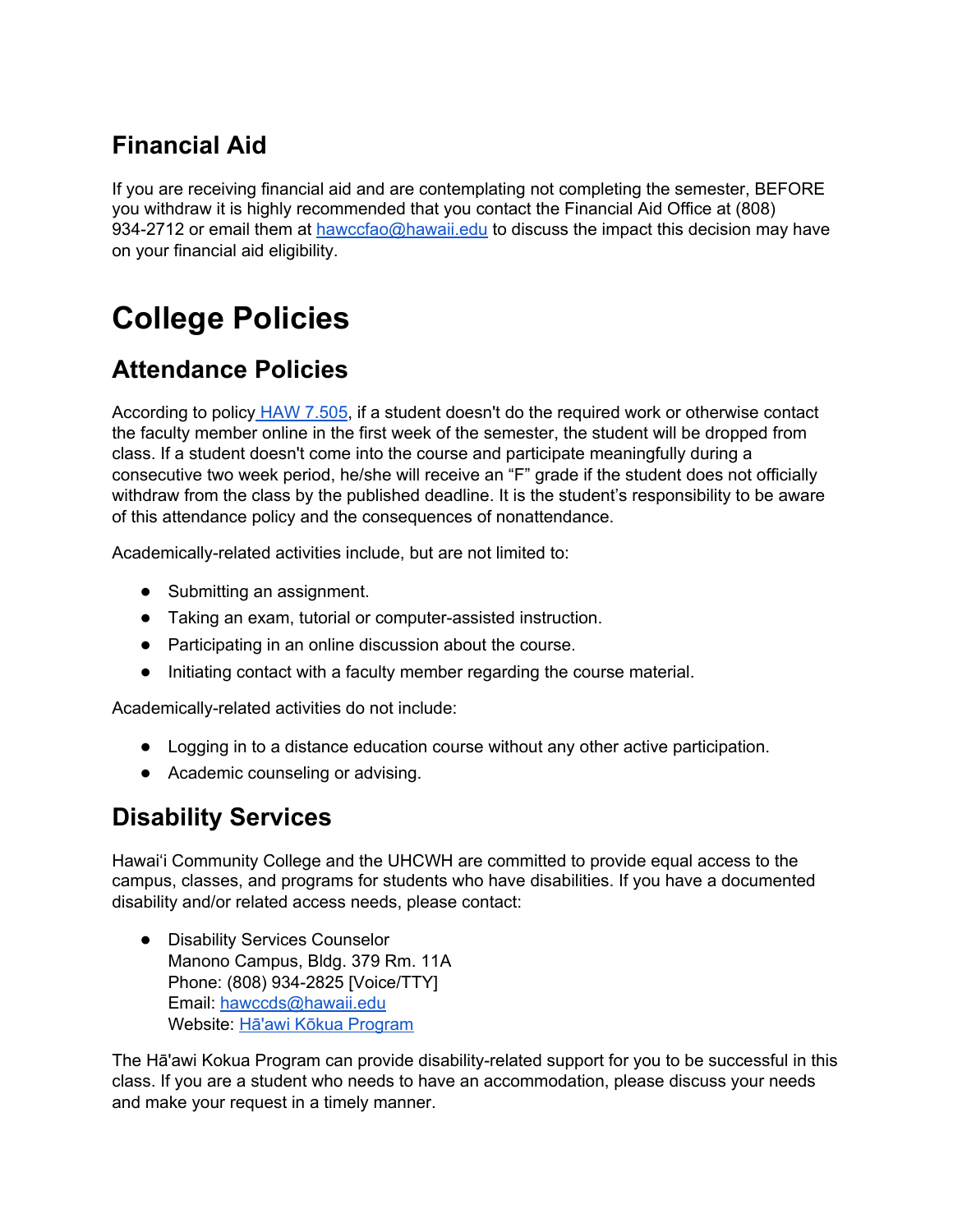#### **Financial Aid**

If you are receiving financial aid and are contemplating not completing the semester, BEFORE you withdraw it is highly recommended that you contact the Financial Aid Office at (808) 934-2712 or email them at [hawccfao@hawaii.edu](mailto:hawccfao@hawaii.edu) to discuss the impact this decision may have on your financial aid eligibility.

## **College Policies**

#### **Attendance Policies**

According to policy HAW [7.505,](http://www.hawaii.hawaii.edu/ovcadmin/admin-manual/haw7) if a student doesn't do the required work or otherwise contact the faculty member online in the first week of the semester, the student will be dropped from class. If a student doesn't come into the course and participate meaningfully during a consecutive two week period, he/she will receive an "F" grade if the student does not officially withdraw from the class by the published deadline. It is the student's responsibility to be aware of this attendance policy and the consequences of nonattendance.

Academically-related activities include, but are not limited to:

- Submitting an assignment.
- Taking an exam, tutorial or computer-assisted instruction.
- Participating in an online discussion about the course.
- Initiating contact with a faculty member regarding the course material.

Academically-related activities do not include:

- Logging in to a distance education course without any other active participation.
- Academic counseling or advising.

#### **Disability Services**

Hawai'i Community College and the UHCWH are committed to provide equal access to the campus, classes, and programs for students who have disabilities. If you have a documented disability and/or related access needs, please contact:

● Disability Services Counselor Manono Campus, Bldg. 379 Rm. 11A Phone: (808) 934-2825 [Voice/TTY] Email: [hawccds@hawaii.edu](mailto:hawccds@hawaii.edu) Website: Hā'awi Kōkua [Program](http://hawaii.hawaii.edu/disability-services)

The Hā'awi Kokua Program can provide disability-related support for you to be successful in this class. If you are a student who needs to have an accommodation, please discuss your needs and make your request in a timely manner.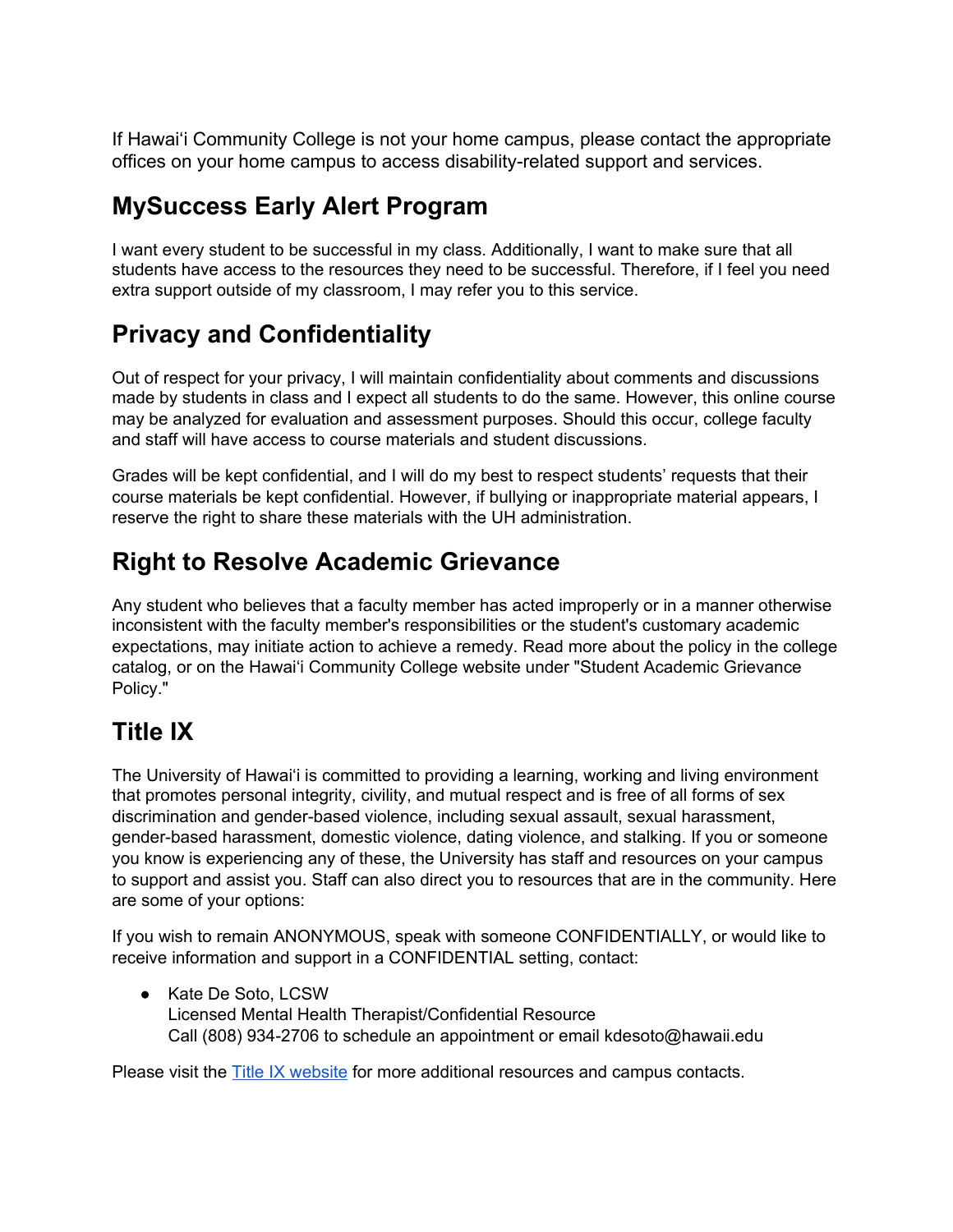If Hawai'i Community College is not your home campus, please contact the appropriate offices on your home campus to access disability-related support and services.

#### **MySuccess Early Alert Program**

I want every student to be successful in my class. Additionally, I want to make sure that all students have access to the resources they need to be successful. Therefore, if I feel you need extra support outside of my classroom, I may refer you to this service.

#### **Privacy and Confidentiality**

Out of respect for your privacy, I will maintain confidentiality about comments and discussions made by students in class and I expect all students to do the same. However, this online course may be analyzed for evaluation and assessment purposes. Should this occur, college faculty and staff will have access to course materials and student discussions.

Grades will be kept confidential, and I will do my best to respect students' requests that their course materials be kept confidential. However, if bullying or inappropriate material appears, I reserve the right to share these materials with the UH administration.

#### **Right to Resolve Academic Grievance**

Any student who believes that a faculty member has acted improperly or in a manner otherwise inconsistent with the faculty member's responsibilities or the student's customary academic expectations, may initiate action to achieve a remedy. Read more about the policy in the college catalog, or on the Hawai'i Community College website under "Student Academic Grievance Policy."

### **Title IX**

The University of Hawai'i is committed to providing a learning, working and living environment that promotes personal integrity, civility, and mutual respect and is free of all forms of sex discrimination and gender-based violence, including sexual assault, sexual harassment, gender-based harassment, domestic violence, dating violence, and stalking. If you or someone you know is experiencing any of these, the University has staff and resources on your campus to support and assist you. Staff can also direct you to resources that are in the community. Here are some of your options:

If you wish to remain ANONYMOUS, speak with someone CONFIDENTIALLY, or would like to receive information and support in a CONFIDENTIAL setting, contact:

● Kate De Soto, LCSW Licensed Mental Health Therapist/Confidential Resource Call (808) 934-2706 to schedule an appointment or email kdesoto@hawaii.edu

Please visit the Title IX [website](http://hawaii.hawaii.edu/security/nine) for more additional resources and campus contacts.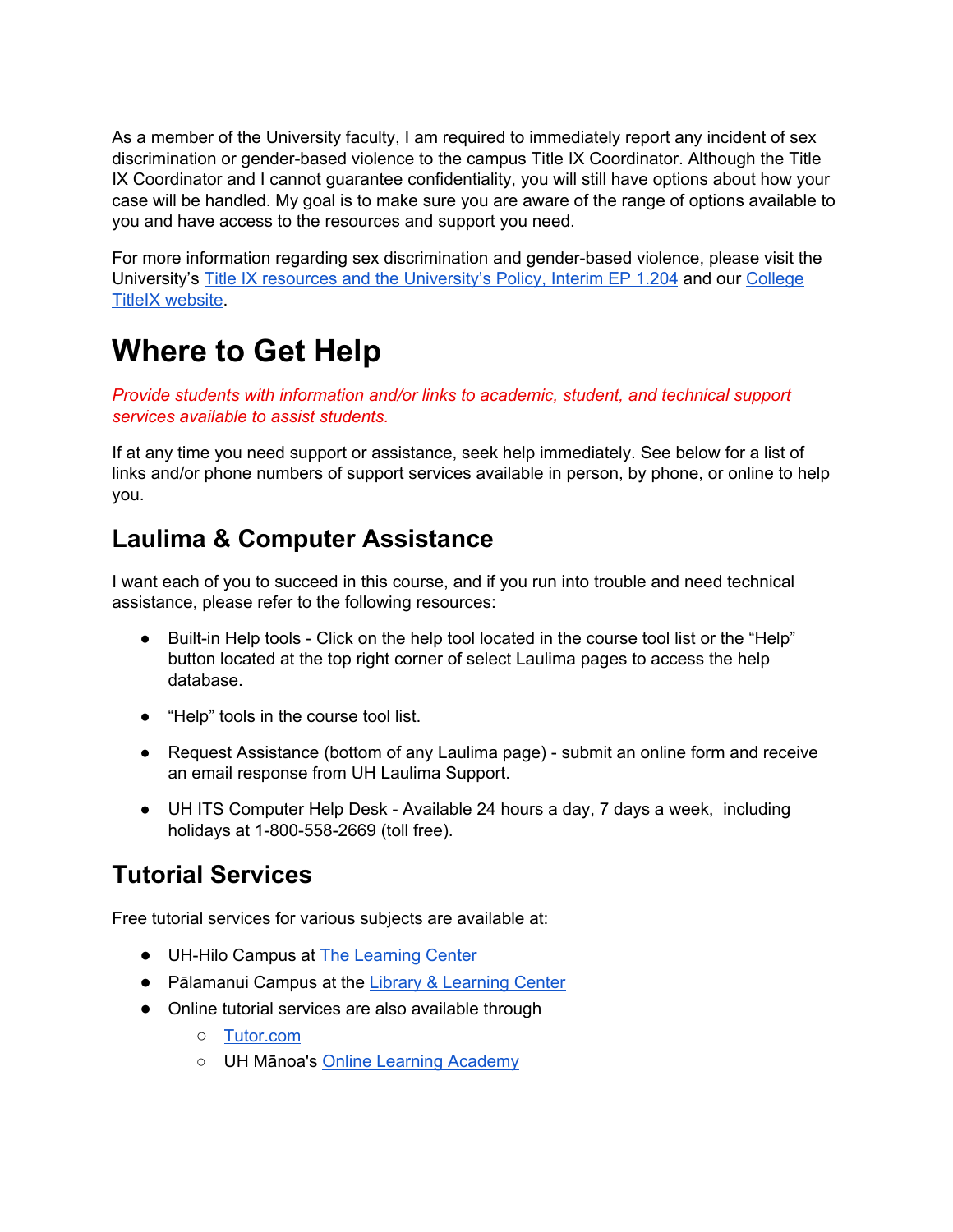As a member of the University faculty, I am required to immediately report any incident of sex discrimination or gender-based violence to the campus Title IX Coordinator. Although the Title IX Coordinator and I cannot guarantee confidentiality, you will still have options about how your case will be handled. My goal is to make sure you are aware of the range of options available to you and have access to the resources and support you need.

For more information regarding sex discrimination and gender-based violence, please visit the University's Title IX resources and the [University's](http://www.hawaii.edu/titleix) Policy, Interim EP 1.204 and our [College](http://hawaii.hawaii.edu/security/nine) TitleIX [website](http://hawaii.hawaii.edu/security/nine).

### **Where to Get Help**

*Provide students with information and/or links to academic, student, and technical support services available to assist students.*

If at any time you need support or assistance, seek help immediately. See below for a list of links and/or phone numbers of support services available in person, by phone, or online to help you.

#### **Laulima & Computer Assistance**

I want each of you to succeed in this course, and if you run into trouble and need technical assistance, please refer to the following resources:

- Built-in Help tools Click on the help tool located in the course tool list or the "Help" button located at the top right corner of select Laulima pages to access the help database.
- "Help" tools in the course tool list.
- Request Assistance (bottom of any Laulima page) submit an online form and receive an email response from UH Laulima Support.
- UH ITS Computer Help Desk Available 24 hours a day, 7 days a week, including holidays at 1-800-558-2669 (toll free).

#### **Tutorial Services**

Free tutorial services for various subjects are available at:

- UH-Hilo Campus at The [Learning](https://www.hawaii.hawaii.edu/tlc) Center
- Pālamanui Campus at the Library & [Learning](https://hawaii.hawaii.edu/palamanui/library-learning-center) Center
- Online tutorial services are also available through
	- [Tutor.com](http://hawaii.hawaii.edu/tutor)
	- UH Mānoa's Online Learning [Academy](https://manoa.hawaii.edu/ola/)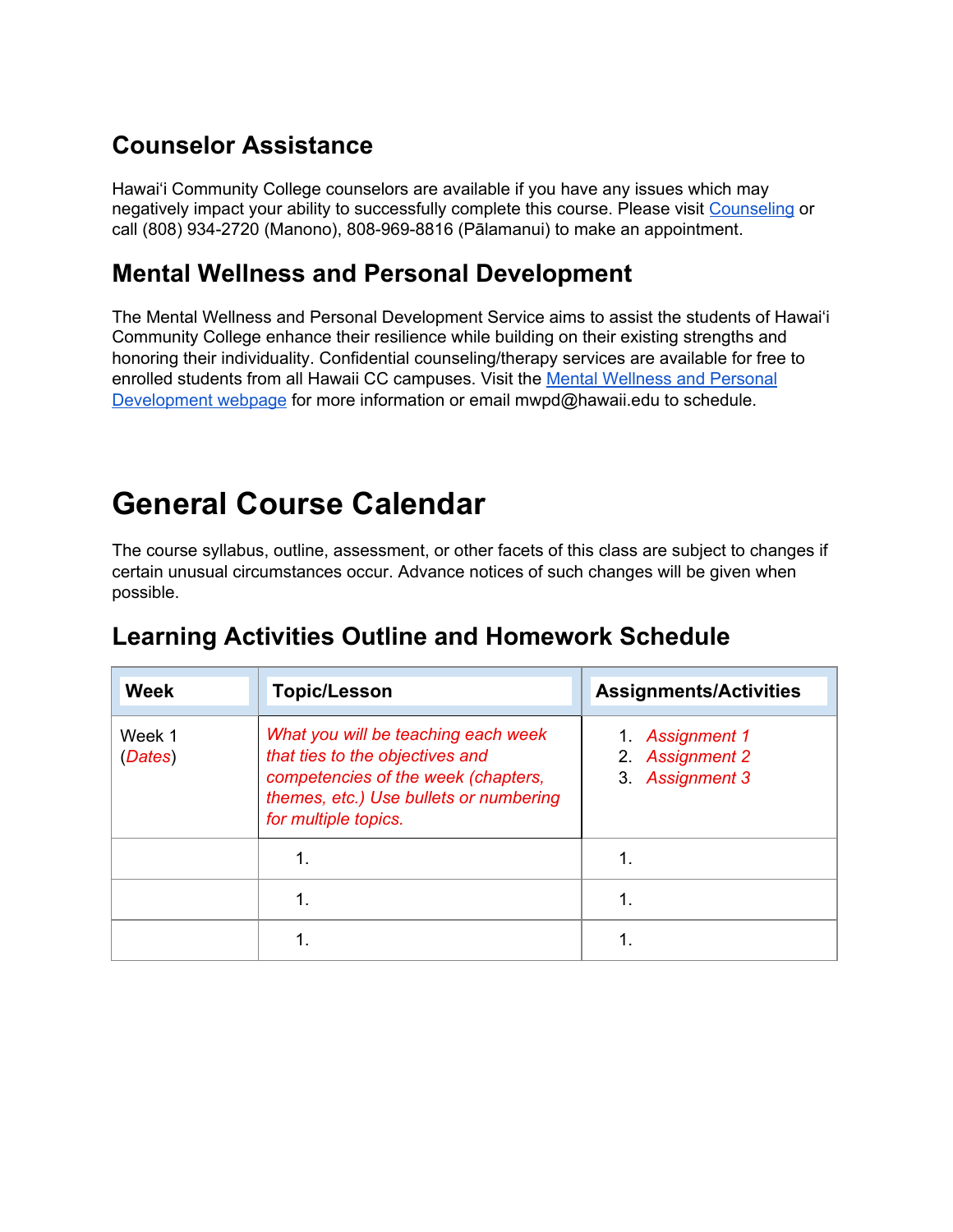#### **Counselor Assistance**

Hawai'i Community College counselors are available if you have any issues which may negatively impact your ability to successfully complete this course. Please visit [Counseling](http://hawaii.hawaii.edu/counseling) or call (808) 934-2720 (Manono), 808-969-8816 (Pālamanui) to make an appointment.

#### **Mental Wellness and Personal Development**

The Mental Wellness and Personal Development Service aims to assist the students of Hawai'i Community College enhance their resilience while building on their existing strengths and honoring their individuality. Confidential counseling/therapy services are available for free to enrolled students from all Hawaii CC campuses. Visit the Mental [Wellness](http://hawaii.hawaii.edu/mental-wellness) and Personal [Development](http://hawaii.hawaii.edu/mental-wellness) webpage for more information or email mwpd@hawaii.edu to schedule.

### **General Course Calendar**

The course syllabus, outline, assessment, or other facets of this class are subject to changes if certain unusual circumstances occur. Advance notices of such changes will be given when possible.

| <b>Week</b>       | <b>Topic/Lesson</b>                                                                                                                                                             | <b>Assignments/Activities</b>                         |
|-------------------|---------------------------------------------------------------------------------------------------------------------------------------------------------------------------------|-------------------------------------------------------|
| Week 1<br>(Dates) | What you will be teaching each week<br>that ties to the objectives and<br>competencies of the week (chapters,<br>themes, etc.) Use bullets or numbering<br>for multiple topics. | 1. Assignment 1<br>2. Assignment 2<br>3. Assignment 3 |
|                   |                                                                                                                                                                                 | 1.                                                    |
|                   |                                                                                                                                                                                 | 1.                                                    |
|                   |                                                                                                                                                                                 | 1.                                                    |

#### **Learning Activities Outline and Homework Schedule**